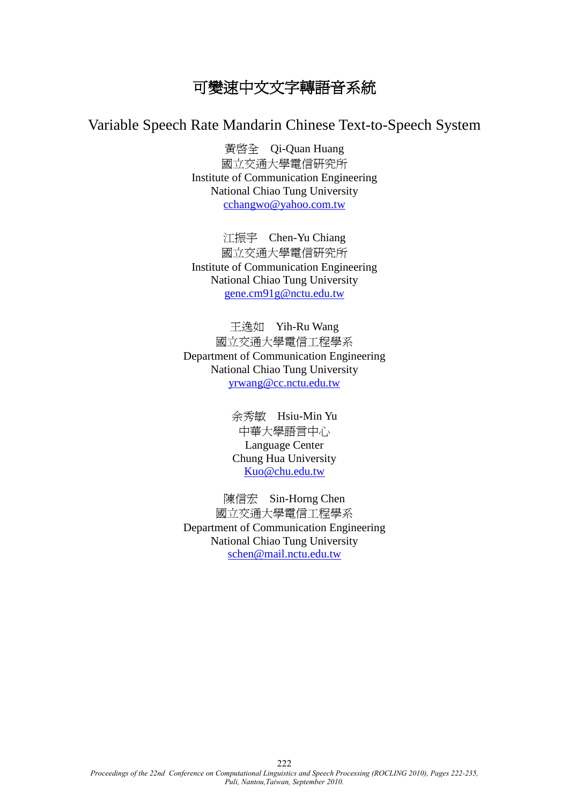# 可變速中文文字轉語音系統

# Variable Speech Rate Mandarin Chinese Text-to-Speech System

黃啓全 Qi-Quan Huang 國立交通大學電信研究所 Institute of Communication Engineering National Chiao Tung University [cchangwo@yahoo.com.tw](mailto:cchangwo@yahoo.com.tw)

江振宇 Chen-Yu Chiang 國立交通大學電信研究所 Institute of Communication Engineering National Chiao Tung University [gene.cm91g@nctu.edu.tw](../gene.cm91g@nctu.edu.tw)

王逸如 Yih-Ru Wang 國立交通大學電信工程學系 Department of Communication Engineering National Chiao Tung University [yrwang@cc.nctu.edu.tw](mailto:yrwang@cc.nctu.edu.tw)

> 余秀敏 Hsiu-Min Yu 中華大學語言中心 Language Center Chung Hua University <Kuo@chu.edu.tw>

陳信宏 Sin-Horng Chen 國立交通大學電信工程學系 Department of Communication Engineering National Chiao Tung University [schen@mail.nctu.edu.tw](mailto:schen@mail.nctu.edu.tw)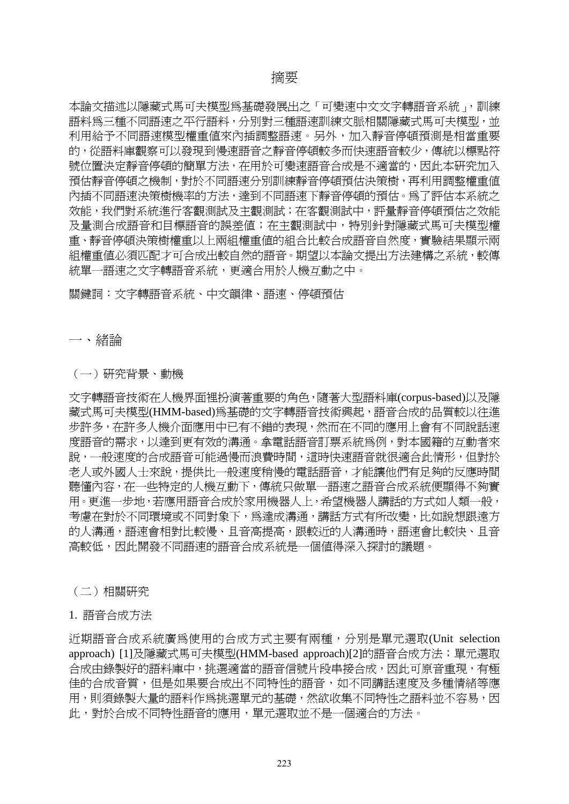本論文描述以隱藏式馬可夫模型為基礎發展出之「可變速中文文字轉語音系統」,訓練 語料為三種不同語速之平行語料,分別對三種語速訓練文脈相關隱藏式馬可夫模型,並 利用給予不同語速模型權重值來內插調整語速。另外,加入靜音停頓預測是相當重要 的,從語料庫觀察可以發現到慢速語音之靜音停頓較多而快速語音較少,傳統以標點符 號位置決定靜音停頓的簡單方法,在用於可變速語音合成是不適當的,因此本研究加入 預估靜音停頓之機制,對於不同語速分別訓練靜音停頓預估決策樹,再利用調整權重値 內插不同語速決策樹機率的方法,達到不同語速下靜音停頓的預估。為了評估本系統之 效能,我們對系統進行客觀測試及主觀測試;在客觀測試中,評量靜音停頓預估之效能 及量測合成語音和目標語音的誤差值;在主觀測試中,特別針對隱藏式馬可夫模型權 重、靜音停頓決策樹權重以上兩組權重值的組合比較合成語音自然度,實驗結果顯示兩 組權重值必須匹配才可合成出較自然的語音。期望以本論文提出方法建構之系統,較傳 統單一語速之文字轉語音系統,更適合用於人機互動之中。

關鍵詞:文字轉語音系統、中文韻律、語速、停頓預估

一、緒論

(一)研究背景、動機

文字轉語音技術在人機界面裡扮演著重要的角色,隨著大型語料庫(corpus-based)以及隱 藏式馬可夫模型(HMM-based)為基礎的文字轉語音技術興起,語音合成的品質較以往進 步許多,在許多人機介面應用中已有不錯的表現,然而在不同的應用上會有不同說話速 度語音的需求,以達到更有效的溝通。拿電話語音訂票系統為例,對本國籍的互動者來 說,一般速度的合成語音可能過慢而浪費時間,這時快速語音就很適合此情形,但對於 老人或外國人士來說,提供比一般速度稍慢的電話語音,才能讓他們有足夠的反應時間 聽懂內容,在一些特定的人機互動下,傳統只做單一語速之語音合成系統便顯得不夠實 用。更進一步地,若應用語音合成於家用機器人上,希望機器人講話的方式如人類一般, 考慮在對於不同環境或不同對象下,為達成溝通,講話方式有所改變,比如說想跟遠方 的人溝通,語速會相對比較慢、且音高提高,跟較近的人溝通時,語速會比較快、且音 高較低,因此開發不同語速的語音合成系統是一個值得深入探討的議題。

(二)相關研究

1. 語音合成方法

近期語音合成系統廣為使用的合成方式主要有兩種,分別是單元選取(Unit selection approach) [1]及隱藏式馬可夫模型(HMM-based approach)[2]的語音合成方法; 單元選取 合成由錄製好的語料庫中,挑選適當的語音信號片段串接合成,因此可原音重現,有極 佳的合成音質,但是如果要合成出不同特性的語音,如不同講話速度及多種情緒等應 用,則須錄製大量的語料作爲挑選單元的基礎,然欲收集不同特性之語料並不容易,因 此,對於合成不同特性語音的應用,單元選取並不是一個適合的方法。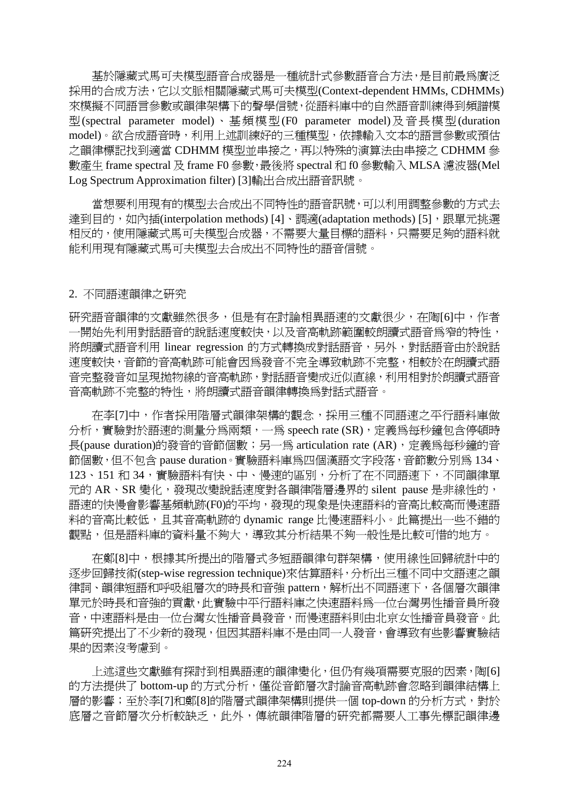基於隱藏式馬可夫模型語音合成器是一種統計式參數語音合方法,是目前最為廣泛 採用的合成方法,它以文脈相關隱藏式馬可夫模型(Context-dependent HMMs, CDHMMs) 來模擬不同語言參數或韻律架構下的聲學信號,從語料庫中的自然語音訓練得到頻譜模 型(spectral parameter model)、基頻模型(F0 parameter model)及音長模型(duration model)。欲合成語音時,利用上述訓練好的三種模型,依據輸入文本的語言參數或預估 之韻律標記找到適當 CDHMM 模型並串接之,再以特殊的演算法由串接之 CDHMM 參 數產生 frame spectral 及 frame F0 參數,最後將 spectral 和 f0 參數輸入 MLSA 濾波器(Mel Log Spectrum Approximation filter) [3]輸出合成出語音訊號。

當想要利用現有的模型去合成出不同特性的語音訊號,可以利用調整參數的方式去 達到目的,如內插(interpolation methods) [4]、調適(adaptation methods) [5], 跟單元挑選 相反的,使用隱藏式馬可夫模型合成器,不需要大量目標的語料,只需要足夠的語料就 能利用現有隱藏式馬可夫模型去合成出不同特性的語音信號。

# 2. 不同語速韻律之研究

研究語音韻律的文獻雖然很多,但是有在討論相異語速的文獻很少,在陶[6]中,作者 一開始先利用對話語音的說話速度較快,以及音高軌跡範圍較朗讀式語音為窄的特性, 將朗讀式語音利用 linear regression 的方式轉換成對話語音,另外,對話語音由於說話 速度較快,音節的音高軌跡可能會因為發音不完全導致軌跡不完整,相較於在朗讀式語 音完整發音如呈現拋物線的音高軌跡,對話語音變成近似直線,利用相對於朗讀式語音 音高軌跡不完整的特性,將朗讀式語音韻律轉換為對話式語音。

在李[7]中,作者採用階層式韻律架構的觀念,採用三種不同語速之平行語料庫做 分析,實驗對於語速的測量分為兩類,一為 speech rate (SR),定義為每秒鐘包含停頓時 長(pause duration)的發音的音節個數;另一為 articulation rate (AR), 定義為每秒鐘的音 節個數,但不包含 pause duration。實驗語料庫為四個漢語文字段落,音節數分別為 134、 123、151 和 34,實驗語料有快、中、慢速的區別,分析了在不同語速下,不同韻律單 元的 AR、SR 變化,發現改變說話速度對各韻律階層邊界的 silent pause 是非線性的, 語速的快慢會影響基頻軌跡(F0)的平均,發現的現象是快速語料的音高比較高而慢速語 料的音高比較低, 且其音高軌跡的 dynamic range 比慢速語料小。此篇提出一些不錯的 觀點,但是語料庫的資料量不夠大,導致其分析結果不夠一般性是比較可惜的地方。

在鄭[8]中,根據其所提出的階層式多短語韻律句群架構,使用線性回歸統計中的 逐步回歸技術(step-wise regression technique)來估算語料,分析出三種不同中文語速之韻 律詞、韻律短語和呼吸組層次的時長和音強 pattern,解析出不同語速下,各個層次韻律 單元於時長和音強的貢獻,此實驗中平行語料庫之快速語料為一位台灣男性播音員所發 音,中速語料是由一位台灣女性播音員發音,而慢速語料則由北京女性播音員發音。此 篇研究提出了不少新的發現,但因其語料庫不是由同一人發音,會導致有些影響實驗結 果的因素沒考慮到。

上述這些文獻雖有探討到相異語速的韻律變化,但仍有幾項需要克服的因素,陶[6] 的方法提供了 bottom-up 的方式分析,僅從音節層次討論音高軌跡會忽略到韻律結構上 層的影響;至於李[7]和鄭[8]的階層式韻律架構則提供一個 top-down 的分析方式,對於 底層之音節層次分析較缺乏,此外,傳統韻律階層的研究都需要人工事先標記韻律邊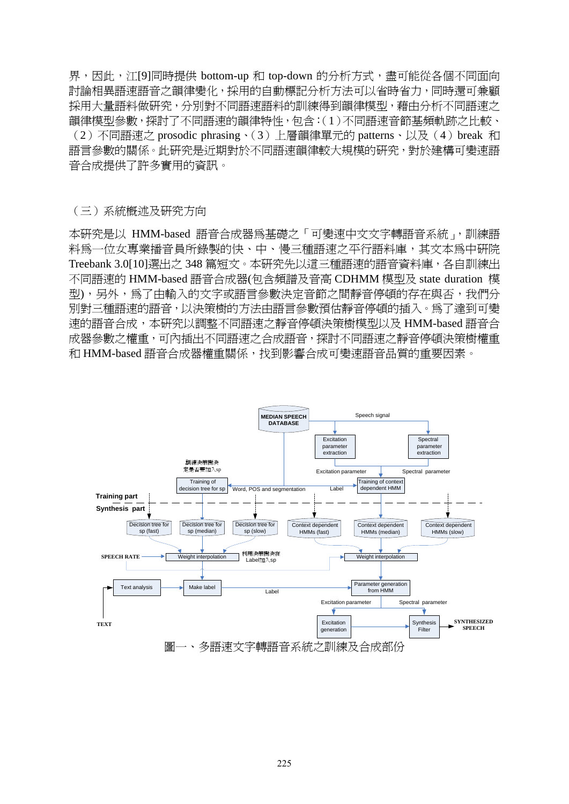界,因此,江[9]同時提供 bottom-up 和 top-down 的分析方式,盡可能從各個不同面向 討論相異語速語音之韻律變化,採用的自動標記分析方法可以省時省力,同時還可兼顧 採用大量語料做研究,分別對不同語速語料的訓練得到韻律模型,藉由分析不同語速之 韻律模型參數,探討了不同語速的韻律特性,包含:(1)不同語速音節基頻軌跡之比較、 (2)不同語速之 prosodic phrasing、(3)上層韻律單元的 patterns、以及(4) break 和 語言參數的關係。此研究是近期對於不同語速韻律較大規模的研究,對於建構可變速語 音合成提供了許多實用的資訊。

### (三)系統概述及研究方向

本研究是以 HMM-based 語音合成器為基礎之「可變速中文文字轉語音系統」,訓練語 料為一位女專業播音員所錄製的快、中、慢三種語速之平行語料庫,其文本為中研院 Treebank 3.0[10]選出之 348 篇短文。本研究先以這三種語速的語音資料庫,各自訓練出 不同語速的 HMM-based 語音合成器(包含頻譜及音高 CDHMM 模型及 state duration 模 型),另外,為了由輸入的文字或語言參數決定音節之間靜音停頓的存在與否,我們分 別對三種語速的語音,以決策樹的方法由語言參數預估靜音停頓的插入。為了達到可變 速的語音合成,本研究以調整不同語速之靜音停頓決策樹模型以及 HMM-based 語音合 成器參數之權重,可內插出不同語速之合成語音,探討不同語速之靜音停頓決策樹權重 和 HMM-based 語音合成器權重關係,找到影響合成可變速語音品質的重要因素。

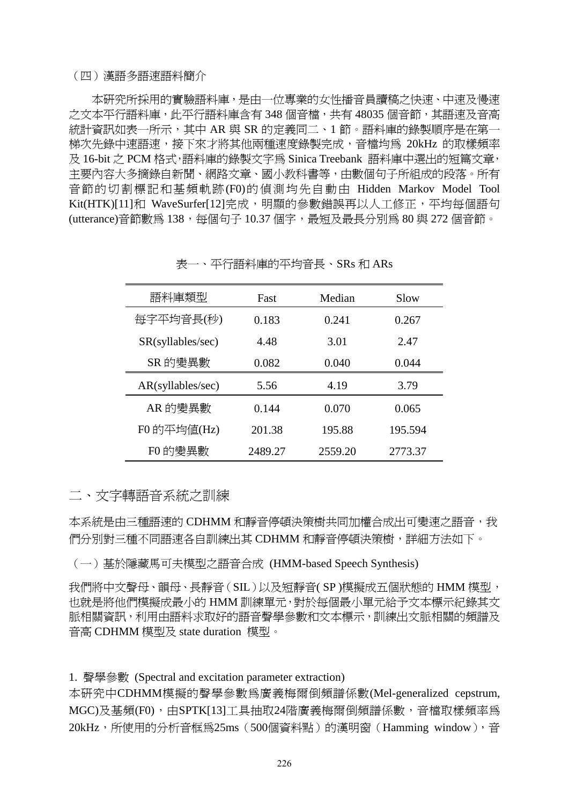#### (四)漢語多語速語料簡介

本研究所採用的實驗語料庫,是由一位專業的女性播音員讀稿之快速、中速及慢速 之文本平行語料庫,此平行語料庫含有 348 個音檔,共有 48035 個音節,其語速及音高 統計資訊如表一所示,其中 AR 與 SR 的定義同二、1 節。語料庫的錄製順序是在第一 梯次先錄中速語速,接下來才將其他兩種速度錄製完成,音檔均為 20kHz 的取樣頻率 及 16-bit 之 PCM 格式,語料庫的錄製文字為 Sinica Treebank 語料庫中選出的短篇文章, 主要內容大多摘錄自新聞、網路文章、國小教科書等,由數個句子所組成的段落。所有 音節的切割標記和基頻軌跡(F0)的偵測均先自動由 Hidden Markov Model Tool Kit(HTK)[11]和 WaveSurfer[12]完成,明顯的參數錯誤再以人工修正,平均每個語句 (utterance)音節數為 138,每個句子 10.37 個字,最短及最長分別為 80 與 272 個音節。

| 語料庫類型             | Fast    | Median  | Slow    |  |
|-------------------|---------|---------|---------|--|
| 每字平均音長(秒)         | 0.183   | 0.241   | 0.267   |  |
| SR(syllables/sec) | 4.48    | 3.01    | 2.47    |  |
| SR 的變異數           | 0.082   | 0.040   | 0.044   |  |
| AR(syllables/sec) | 5.56    | 4.19    | 3.79    |  |
| AR 的變異數           | 0.144   | 0.070   | 0.065   |  |
| F0 的平均值(Hz)       | 201.38  | 195.88  | 195.594 |  |
| F0 的變異數           | 2489.27 | 2559.20 | 2773.37 |  |

表一、平行語料庫的平均音長、SRs 和 ARs

# 二、文字轉語音系統之訓練

本系統是由三種語速的 CDHMM 和靜音停頓決策樹共同加權合成出可變速之語音,我 們分別對三種不同語速各自訓練出其 CDHMM 和靜音停頓決策樹,詳細方法如下。

(一)基於隱藏馬可夫模型之語音合成 (HMM-based Speech Synthesis)

我們將中文聲母、韻母、長靜音(SIL)以及短靜音( SP )模擬成五個狀態的 HMM 模型, 也就是將他們模擬成最小的 HMM 訓練單元,對於每個最小單元給予文本標示紀錄其文 脈相關資訊,利用由語料求取好的語音聲學參數和文本標示,訓練出文脈相關的頻譜及 音高 CDHMM 模型及 state duration 模型。

1. 聲學參數 (Spectral and excitation parameter extraction)

本研究中CDHMM模擬的聲學參數為廣義梅爾倒頻譜係數(Mel-generalized cepstrum, MGC)及基頻(F0),由SPTK[13]工具抽取24階廣義梅爾倒頻譜係數,音檔取樣頻率為 20kHz,所使用的分析音框為25ms(500個資料點)的漢明窗(Hamming window),音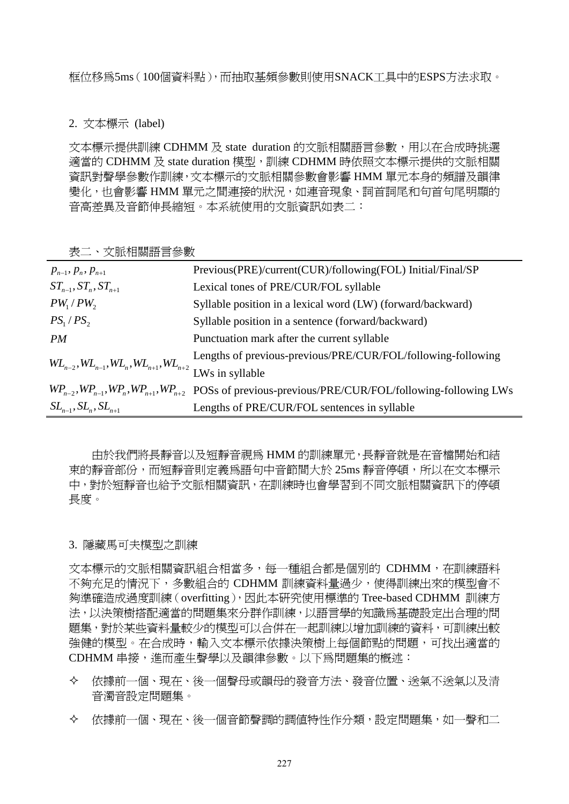# 2. 文本標示 (label)

文本標示提供訓練 CDHMM 及 state duration 的文脈相關語言參數, 用以在合成時挑選 適當的 CDHMM 及 state duration 模型,訓練 CDHMM 時依照文本標示提供的文脈相關 資訊對聲學參數作訓練,文本標示的文脈相關參數會影響 HMM 單元本身的頻譜及韻律 變化,也會影響 HMM 單元之間連接的狀況,如連音現象、詞首詞尾和句首句尾明顯的 音高差異及音節伸長縮短。本系統使用的文脈資訊如表二:

表二、文脈相關語言參數

| $p_{n-1}, p_n, p_{n+1}$                                                                              | Previous(PRE)/current(CUR)/following(FOL) Initial/Final/SP                                                               |
|------------------------------------------------------------------------------------------------------|--------------------------------------------------------------------------------------------------------------------------|
| $ST_{n-1}$ , $ST_n$ , $ST_{n+1}$                                                                     | Lexical tones of PRE/CUR/FOL syllable                                                                                    |
| $PW_1/PW_2$                                                                                          | Syllable position in a lexical word (LW) (forward/backward)                                                              |
| $PS_1/PS_2$                                                                                          | Syllable position in a sentence (forward/backward)                                                                       |
| PM                                                                                                   | Punctuation mark after the current syllable                                                                              |
| $W L_{n-2}$ , $W L_{n-1}$ , $W L_n$ , $W L_{n+1}$ , $W L_{n+2}$ $\overbrace{\text{LWs}}$ in syllable | Lengths of previous-previous/PRE/CUR/FOL/following-following                                                             |
|                                                                                                      |                                                                                                                          |
|                                                                                                      | $WP_{n-2}$ , $WP_{n-1}$ , $WP_n$ , $WP_{n+1}$ , $WP_{n+2}$ POSs of previous-previous/PRE/CUR/FOL/following-following LWs |
| $SL_{n-1}$ , $SL_n$ , $SL_{n+1}$                                                                     | Lengths of PRE/CUR/FOL sentences in syllable                                                                             |

由於我們將長靜音以及短靜音視為 HMM 的訓練單元,長靜音就是在音檔開始和結 束的靜音部份,而短靜音則定義爲語句中音節間大於 25ms 靜音停頓,所以在文本標示 中,對於短靜音也給予文脈相關資訊,在訓練時也會學習到不同文脈相關資訊下的停頓 長度。

# 3. 隱藏馬可夫模型之訓練

文本標示的文脈相關資訊組合相當多,每一種組合都是個別的 CDHMM, 在訓練語料 不夠充足的情況下,多數組合的 CDHMM 訓練資料量過少,使得訓練出來的模型會不 夠準確造成過度訓練(overfitting),因此本研究使用標準的 Tree-based CDHMM 訓練方 法,以決策樹搭配適當的問題集來分群作訓練,以語言學的知識為基礎設定出合理的問 題集,對於某些資料量較少的模型可以合併在一起訓練以增加訓練的資料,可訓練出較 強健的模型。在合成時,輸入文本標示依據決策樹上每個節點的問題,可找出適當的 CDHMM 串接,進而產生聲學以及韻律參數。以下為問題集的槪述:

- 依據前一個、現在、後一個聲母或韻母的發音方法、發音位置、送氣不送氣以及清 音濁音設定問題集。
- ◆ 依據前一個、現在、後一個音節聲調的調値特性作分類,設定問題集,如一聲和二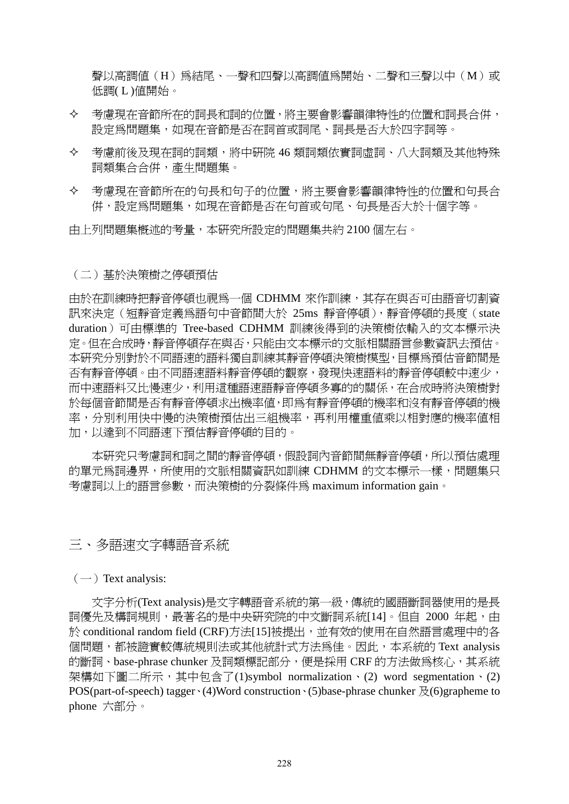聲以高調值(H)為結尾、一聲和四聲以高調值為開始、二聲和三聲以中(M)或 低調( L )值開始。

- 考慮現在音節所在的詞長和詞的位置,將主要會影響韻律特性的位置和詞長合併, 設定為問題集,如現在音節是否在詞首或詞尾、詞長是否大於四字詞等。
- ◆ 考慮前後及現在詞的詞類,將中研院 46 類詞類依實詞虛詞、八大詞類及其他特殊 詞類集合合併,產生問題集。
- ◆ 考慮現在音節所在的句長和句子的位置,將主要會影響韻律特性的位置和句長合 併,設定為問題集,如現在音節是否在句首或句尾、句長是否大於十個字等。

由上列問題集概述的考量,本研究所設定的問題集共約 2100 個左右。

#### (二)基於決策樹之停頓預估

由於在訓練時把靜音停頓也視為一個 CDHMM 來作訓練,其存在與否可由語音切割資 訊來決定 (短靜音定義爲語句中音節間大於 25ms 靜音停頓), 靜音停頓的長度 (state duration)可由標準的 Tree-based CDHMM 訓練後得到的決策樹依輸入的文本標示決 定。但在合成時,靜音停頓存在與否,只能由文本標示的文脈相關語言參數資訊去預估。 本研究分別對於不同語速的語料獨自訓練其靜音停頓決策樹模型,目標為預估音節間是 否有靜音停頓。由不同語速語料靜音停頓的觀察,發現快速語料的靜音停頓較中速少, 而中速語料又比慢速少,利用這種語速語靜音停頓多寡的的關係,在合成時將決策樹對 於每個音節間是否有靜音停頓求出機率值,即為有靜音停頓的機率和沒有靜音停頓的機 率,分別利用快中慢的決策樹預估出三組機率,再利用權重值乘以相對應的機率值相 加,以達到不同語速下預估靜音停頓的目的。

本研究只考慮詞和詞之間的靜音停頓,假設詞內音節間無靜音停頓,所以預估處理 的單元為詞邊界,所使用的文脈相關資訊如訓練 CDHMM 的文本標示一樣,問題集只 考慮詞以上的語言參數,而決策樹的分裂條件為 maximum information gain。

# 三、多語速文字轉語音系統

#### $(-)$  Text analysis:

文字分析(Text analysis)是文字轉語音系統的第一級,傳統的國語斷詞器使用的是長 詞優先及構詞規則,最著名的是中央研究院的中文斷詞系統[14]。但自 2000 年起,由 於 conditional random field (CRF)方法[15]被提出,並有效的使用在自然語言處理中的各 個問題,都被證實較傳統規則法或其他統計式方法為佳。因此,本系統的 Text analysis 的斷詞、base-phrase chunker 及詞類標記部分, 便是採用 CRF 的方法做為核心, 其系統 架構如下圖二所示,其中包含了(1)symbol normalization、(2) word segmentation、(2) POS(part-of-speech) tagger、(4)Word construction、(5)base-phrase chunker  $\mathcal{R}(6)$ grapheme to phone 六部分。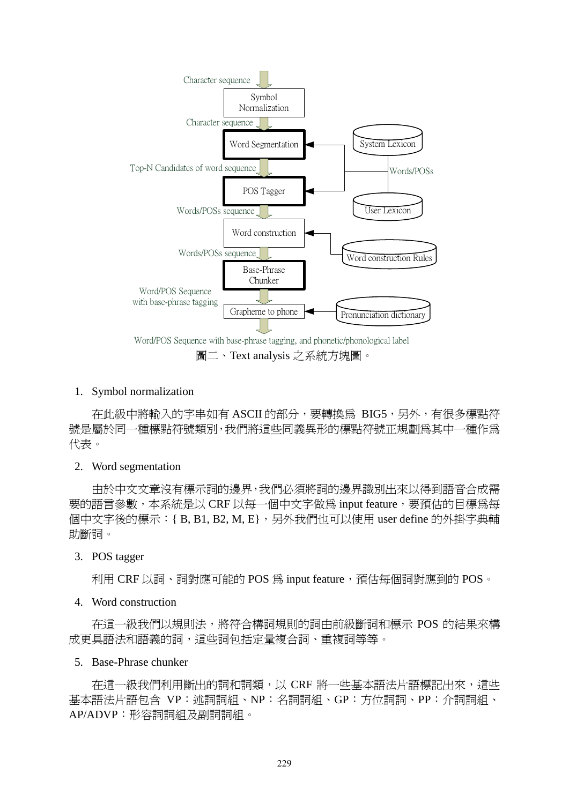

圖二、Text analysis 之系統方塊圖。

# 1. Symbol normalization

 在此級中將輸入的字串如有 ASCII 的部分,要轉換為 BIG5,另外,有很多標點符 號是屬於同一種標點符號類別,我們將這些同義異形的標點符號正規劃為其中一種作為 代表。

# 2. Word segmentation

 由於中文文章沒有標示詞的邊界,我們必頇將詞的邊界識別出來以得到語音合成需 要的語言參數,本系統是以 CRF 以每一個中文字做為 input feature,要預估的目標為每 個中文字後的標示: { B, B1, B2, M, E}, 另外我們也可以使用 user define 的外掛字典輔 助斷詞。

# 3. POS tagger

利用 CRF 以詞、詞對應可能的 POS 為 input feature,預估每個詞對應到的 POS。

# 4. Word construction

 在這一級我們以規則法,將符合構詞規則的詞由前級斷詞和標示 POS 的結果來構 成更具語法和語義的詞,這些詞包括定量複合詞、重複詞等等。

# 5. Base-Phrase chunker

 在這一級我們利用斷出的詞和詞類,以 CRF 將一些基本語法片語標記出來,這些 基本語法片語包含 VP:述詞詞組、NP:名詞詞組、GP:方位詞詞、PP:介詞詞組、 AP/ADVP:形容詞詞組及副詞詞組。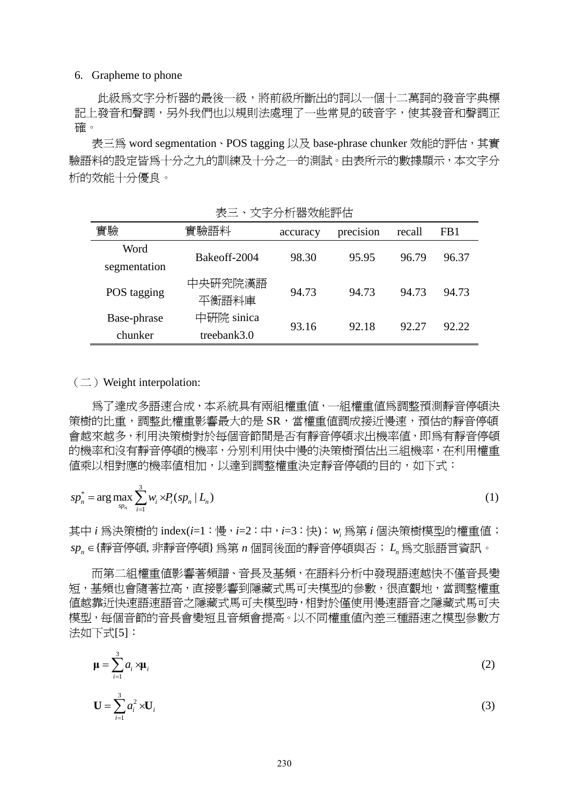### 6. Grapheme to phone

此級為文字分析器的最後一級,將前級所斷出的詞以一個十二萬詞的發音字典標 記上發音和聲調,另外我們也以規則法處理了一些常見的破音字,使其發音和聲調正 確。

表三為 word segmentation、POS tagging 以及 base-phrase chunker 效能的評估,其實 驗語料的設定皆為十分之九的訓練及十分之一的測試。由表所示的數據顯示,本文字分 析的效能十分優良。

| 人丁刀刃旧印入印印口             |                           |          |           |        |       |  |  |
|------------------------|---------------------------|----------|-----------|--------|-------|--|--|
| 實驗                     | 實驗語料                      | accuracy | precision | recall | FB1   |  |  |
| Word<br>segmentation   | Bakeoff-2004              | 98.30    | 95.95     | 96.79  | 96.37 |  |  |
| POS tagging            | 中央研究院漢語<br>平衡語料庫          | 94.73    | 94.73     | 94.73  | 94.73 |  |  |
| Base-phrase<br>chunker | 中研院 sinica<br>treebank3.0 | 93.16    | 92.18     | 92.27  | 92.22 |  |  |

表三、文字分析器效能評估

 $(\square)$  Weight interpolation:

為了達成多語速合成,本系統具有兩組權重值,一組權重值為調整預測靜音停頓決 策樹的比重,調整此權重影響最大的是 SR,當權重值調成接近慢速,預估的靜音停頓 會越來越多,利用決策樹對於每個音節間是否有靜音停頓求出機率值,即為有靜音停頓 的機率和沒有靜音停頓的機率,分別利用快中慢的決策樹預估出三組機率,在利用權重 值乘以相對應的機率值相加,以達到調整權重決定靜音停頓的目的,如下式:

$$
sp_n^* = \arg\max_{sp_n} \sum_{i=1}^3 w_i \times P_i(sp_n \mid L_n)
$$
\n(1)

其中 *i* 為決策樹的 index(*i*=1:慢,*i*=2:中,*i*=3:快); *wi* 為第 *i* 個決策樹模型的權重值; { } *<sup>n</sup> sp* 靜音停頓, 非靜音停頓 為第 *n* 個詞後面的靜音停頓與否; *L n* 為文脈語言資訊。

而第二組權重值影響著頻譜、音長及基頻,在語料分析中發現語速越快不僅音長變 短,基頻也會隨著拉高,直接影響到隱藏式馬可夫模型的參數,很直觀地,當調整權重 值越靠近快速語速語音之隱藏式馬可夫模型時,相對於僅使用慢速語音之隱藏式馬可夫 模型,每個音節的音長會變短且音頻會提高。以不同權重值內差三種語速之模型參數方 法如下式[5]:

$$
\mathbf{\mu} = \sum_{i=1}^{3} a_i \times \mathbf{\mu}_i
$$
\n
$$
\mathbf{U} = \sum_{i=1}^{3} a_i^2 \times \mathbf{U}_i
$$
\n(2)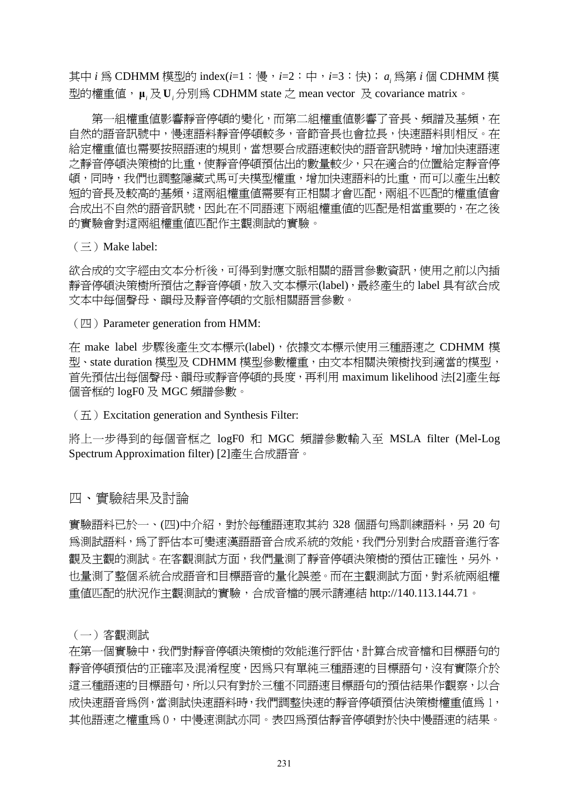其中 *i* 為 CDHMM 模型的 index(*i*=1:慢,*i*=2:中,*i*=3:快); *i a* 為第 *i* 個 CDHMM 模 型的權重値, $\mu_{i}$ 及 $\mathbf{U}_{i}$ 分別爲 CDHMM state 之 mean vector 及 covariance matrix。

第一組權重值影響靜音停頓的變化,而第二組權重值影響了音長、頻譜及基頻,在 自然的語音訊號中,慢速語料靜音停頓較多,音節音長也會拉長,快速語料則相反。在 給定權重值也需要按照語速的規則,當想要合成語速較快的語音訊號時,增加快速語速 之靜音停頓決策樹的比重,使靜音停頓預估出的數量較少,只在適合的位置給定靜音停 頓,同時,我們也調整隱藏式馬可夫模型權重,增加快速語料的比重,而可以產生出較 短的音長及較高的基頻,這兩組權重值需要有正相關才會匹配,兩組不匹配的權重值會 合成出不自然的語音訊號,因此在不同語速下兩組權重值的匹配是相當重要的,在之後 的實驗會對這兩組權重值匹配作主觀測試的實驗。

 $($   $\equiv$   $)$  Make label:

欲合成的文字經由文本分析後,可得到對應文脈相關的語言參數資訊,使用之前以內插 靜音停頓決策樹所預估之靜音停頓,放入文本標示(label),最終產生的 label 具有欲合成 文本中每個聲母、韻母及靜音停頓的文脈相關語言參數。

 $(\mathbb{Z})$  Parameter generation from HMM:

在 make label 步驟後產生文本標示(label),依據文本標示使用三種語速之 CDHMM 模 型、state duration 模型及 CDHMM 模型參數權重,由文本相關決策樹找到適當的模型, 首先預估出每個聲母、韻母或靜音停頓的長度,再利用 maximum likelihood 法[2]產生每 個音框的 logF0 及 MGC 頻譜參數。

 $(\overline{h})$  Excitation generation and Synthesis Filter:

將上一步得到的每個音框之 logF0 和 MGC 頻譜參數輸入至 MSLA filter (Mel-Log Spectrum Approximation filter) [2]產生合成語音。

四、實驗結果及討論

實驗語料已於一、(四)中介紹,對於每種語速取其約 328 個語句為訓練語料,另 20 句 為測試語料,為了評估本可變速漢語語音合成系統的效能,我們分別對合成語音進行客 觀及主觀的測試。在客觀測試方面,我們量測了靜音停頓決策樹的預估正確性,另外, 也量測了整個系統合成語音和目標語音的量化誤差。而在主觀測試方面,對系統兩組權 重值匹配的狀況作主觀測試的實驗,合成音檔的展示請連結 http://140.113.144.71。

(一)客觀測試

在第一個實驗中,我們對靜音停頓決策樹的效能進行評估,計算合成音檔和目標語句的 靜音停頓預估的正確率及混淆程度,因為只有單純三種語速的目標語句,沒有實際介於 這三種語速的目標語句,所以只有對於三種不同語速目標語句的預估結果作觀察,以合 成快速語音為例,當測試快速語料時,我們調整快速的靜音停頓預估決策樹權重值為 1, 其他語速之權重為 0,中慢速測試亦同。表四為預估靜音停頓對於快中慢語速的結果。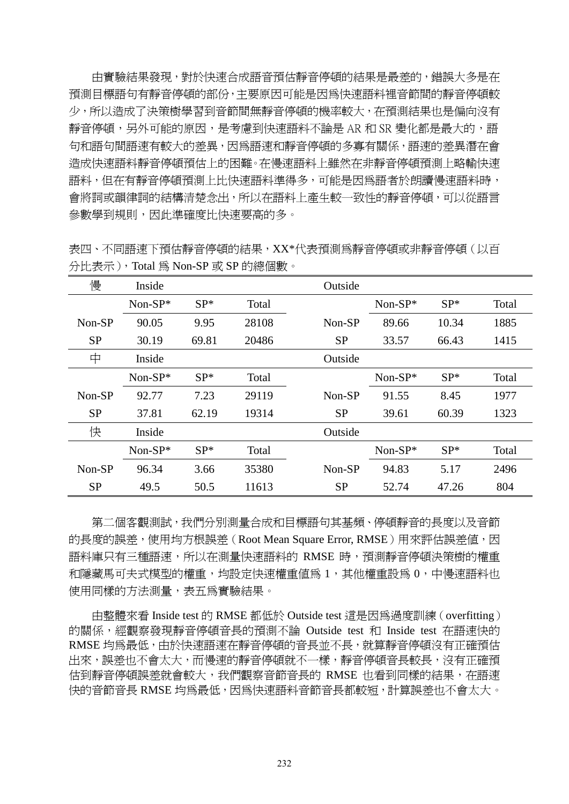由實驗結果發現,對於快速合成語音預估靜音停頓的結果是最差的,錯誤大多是在 預測目標語句有靜音停頓的部份,主要原因可能是因為快速語料裡音節間的靜音停頓較 少,所以造成了決策樹學習到音節間無靜音停頓的機率較大,在預測結果也是偏向沒有 靜音停頓,另外可能的原因,是考慮到快速語料不論是 AR 和 SR 變化都是最大的,語 句和語句間語速有較大的差異,因為語速和靜音停頓的多寡有關係,語速的差異潛在會 造成快速語料靜音停頓預估上的困難。在慢速語料上雖然在非靜音停頓預測上略輸快速 語料,但在有靜音停頓預測上比快速語料準得多,可能是因爲語者於朗讀慢速語料時, 會將詞或韻律詞的結構清楚念出,所以在語料上產生較一致性的靜音停頓,可以從語言 參數學到規則,因此準確度比快速要高的多。

| 慢         | Inside    |        |       | Outside   |           |        |       |
|-----------|-----------|--------|-------|-----------|-----------|--------|-------|
|           | $Non-SP*$ | $SP*$  | Total |           | $Non-SP*$ | $SP^*$ | Total |
| Non-SP    | 90.05     | 9.95   | 28108 | Non-SP    | 89.66     | 10.34  | 1885  |
| <b>SP</b> | 30.19     | 69.81  | 20486 | <b>SP</b> | 33.57     | 66.43  | 1415  |
| 中         | Inside    |        |       | Outside   |           |        |       |
|           | $Non-SP*$ | $SP^*$ | Total |           | $Non-SP*$ | $SP^*$ | Total |
| Non-SP    | 92.77     | 7.23   | 29119 | Non-SP    | 91.55     | 8.45   | 1977  |
| <b>SP</b> | 37.81     | 62.19  | 19314 | <b>SP</b> | 39.61     | 60.39  | 1323  |
| 快         | Inside    |        |       | Outside   |           |        |       |
|           | $Non-SP*$ | $SP*$  | Total |           | $Non-SP*$ | $SP^*$ | Total |
| Non-SP    | 96.34     | 3.66   | 35380 | Non-SP    | 94.83     | 5.17   | 2496  |
| <b>SP</b> | 49.5      | 50.5   | 11613 | <b>SP</b> | 52.74     | 47.26  | 804   |

表四、不同語速下預估靜音停頓的結果,XX\*代表預測為靜音停頓或非靜音停頓(以百 分比表示),Total 為 Non-SP 或 SP 的總個數。

第二個客觀測試,我們分別測量合成和目標語句其基頻、停頓靜音的長度以及音節 的長度的誤差,使用均方根誤差(Root Mean Square Error, RMSE)用來評估誤差值,因 語料庫只有三種語速,所以在測量快速語料的 RMSE 時,預測靜音停頓決策樹的權重 和隱藏馬可夫式模型的權重,均設定快速權重值為 1,其他權重設為 0,中慢速語料也 使用同樣的方法測量,表五為實驗結果。

由整體來看 Inside test 的 RMSE 都低於 Outside test 這是因為過度訓練(overfitting) 的關係,經觀察發現靜音停頓音長的預測不論 Outside test 和 Inside test 在語速快的 RMSE 均為最低,由於快速語速在靜音停頓的音長並不長,就算靜音停頓沒有正確預估 出來,誤差也不會太大,而慢速的靜音停頓就不一樣,靜音停頓音長較長,沒有正確預 估到靜音停頓誤差就會較大,我們觀察音節音長的 RMSE 也看到同樣的結果,在語速 快的音節音長 RMSE 均為最低,因為快速語料音節音長都較短,計算誤差也不會太大。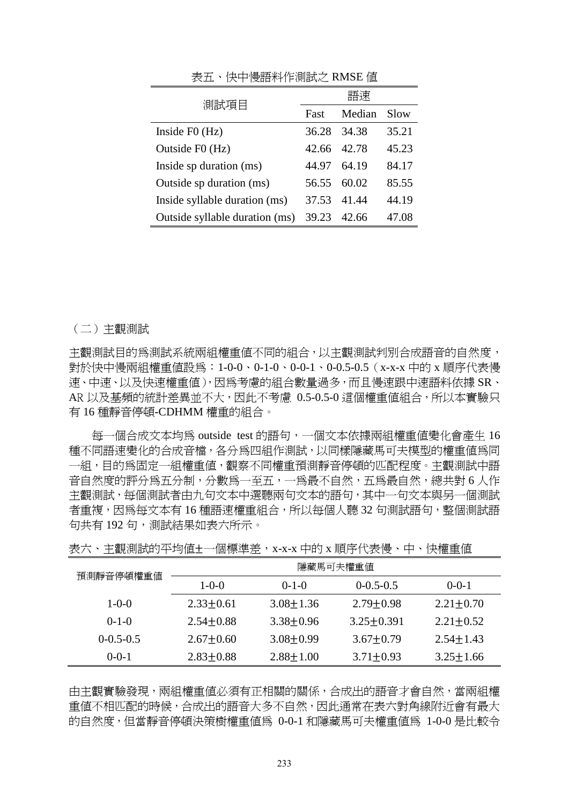| ﯩﻠﻠﯩﺪ<br>DV   DXHH/I     DVHPV⊂ - - - - > - |       |        |       |  |  |  |
|---------------------------------------------|-------|--------|-------|--|--|--|
| 測試項目                                        | 語涑    |        |       |  |  |  |
|                                             | Fast  | Median | Slow  |  |  |  |
| Inside $F0$ (Hz)                            | 36.28 | 34.38  | 35.21 |  |  |  |
| Outside F0 (Hz)                             | 42.66 | 42.78  | 45.23 |  |  |  |
| Inside sp duration (ms)                     | 44.97 | 64.19  | 84.17 |  |  |  |
| Outside sp duration (ms)                    | 56.55 | 60.02  | 85.55 |  |  |  |
| Inside syllable duration (ms)               | 37.53 | 41.44  | 44.19 |  |  |  |
| Outside syllable duration (ms)              | 39.23 | 42.66  | 47.08 |  |  |  |

表五、快中慢語料作測試之 RMSE 值

(二)主觀測試

主觀測試目的為測試系統兩組權重值不同的組合,以主觀測試判別合成語音的自然度, 對於快中慢兩組權重值設為:1-0-0、0-1-0、0-0-1、0-0.5-0.5(x-x-x 中的 x 順序代表慢 速、中速、以及快速權重值),因為考慮的組合數量渦多,而且慢速跟中速語料依據 SR、 AR 以及基頻的統計差異並不大,因此不考慮 0.5-0.5-0 這個權重值組合,所以本實驗只 有 16 種靜音停頓-CDHMM 權重的組合。

每一個合成文本均為 outside test 的語句,一個文本依據兩組權重值變化會產生 16 種不同語速變化的合成音檔,各分為四組作測試,以同樣隱藏馬可夫模型的權重值為同 一組,目的為固定一組權重值,觀察不同權重預測靜音停頓的匹配程度。主觀測試中語 音自然度的評分為五分制,分數為一至五,一為最不自然,五為最自然,總共對 6 人作 主觀測試,每個測試者由九句文本中選聽兩句文本的語句,其中一句文本與另一個測試 者重複,因為每文本有 16 種語速權重組合,所以每個人聽 32 句測試語句,整個測試語 句共有 192 句,測試結果如表六所示。

| 預測靜音停頓權重値      | 隱藏馬可夫權重值      |                 |                 |                 |  |  |
|----------------|---------------|-----------------|-----------------|-----------------|--|--|
|                | $1 - 0 - 0$   | $0 - 1 - 0$     | $0-0.5-0.5$     | $()$ - $()$ -1  |  |  |
| $1 - 0 - 0$    | $2.33 + 0.61$ | $3.08 + 1.36$   | $2.79 + 0.98$   | $2.21 \pm 0.70$ |  |  |
| $0 - 1 - 0$    | $2.54 + 0.88$ | $3.38 + 0.96$   | $3.25 + 0.391$  | $2.21 + 0.52$   |  |  |
| $0-0.5-0.5$    | $2.67 + 0.60$ | $3.08 \pm 0.99$ | $3.67 + 0.79$   | $2.54 \pm 1.43$ |  |  |
| $()$ - $()$ -1 | $2.83 + 0.88$ | $2.88 \pm 1.00$ | $3.71 \pm 0.93$ | $3.25 \pm 1.66$ |  |  |

表六、主觀測試的平均值± 一個標準差,x-x-x 中的 x 順序代表慢、中、快權重值

由主觀實驗發現,兩組權重值必須有正相關的關係,合成出的語音才會自然,當兩組權 重值不相匹配的時候,合成出的語音大多不自然,因此通常在表六對角線附近會有最大 的自然度,但當靜音停頓決策樹權重值為 0-0-1 和隱藏馬可夫權重值為 1-0-0 是比較令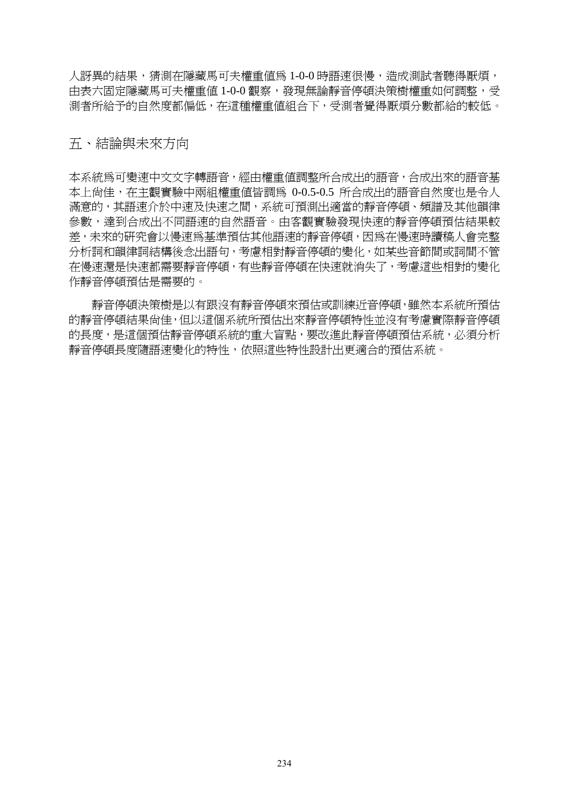人訝異的結果,猜測在隱藏馬可夫權重值為 1-0-0 時語速很慢,浩成測試者聽得厭煩, 由表六固定隱藏馬可夫權重值 1-0-0 觀察,發現無論靜音停頓決策樹權重如何調整,受 測者所給予的自然度都偏低,在這種權重值組合下,受測者覺得厭煩分數都給的較低。

# 五、結論與未來方向

本系統爲可變速中文文字轉語音,經由權重值調整所合成出的語音,合成出來的語音基 本上尚佳,在主觀實驗中兩組權重值皆調為 0-0.5-0.5 所合成出的語音自然度也是令人 滿意的,其語速介於中速及快速之間,系統可預測出適當的靜音停頓、頻譜及其他韻律 參數,達到合成出不同語速的自然語音。由客觀實驗發現快速的靜音停頓預估結果較 差,未來的研究會以慢速為基準預估其他語速的靜音停頓,因為在慢速時讀稿人會完整 分析詞和韻律詞結構後念出語句,考慮相對靜音停頓的變化,如某些音節間或詞間不管 在慢速還是快速都需要靜音停頓,有些靜音停頓在快速就消失了,考慮這些相對的變化 作靜音停頓預估是需要的。

靜音停頓決策樹是以有跟沒有靜音停頓來預估或訓練近音停頓,雖然本系統所預估 的靜音停頓結果尚佳,但以這個系統所預估出來靜音停頓特性並沒有考慮實際靜音停頓 的長度,是這個預估靜音停頓系統的重大盲點,要改進此靜音停頓預估系統,必須分析 靜音停頓長度隨語速變化的特性,依照這些特性設計出更適合的預估系統。